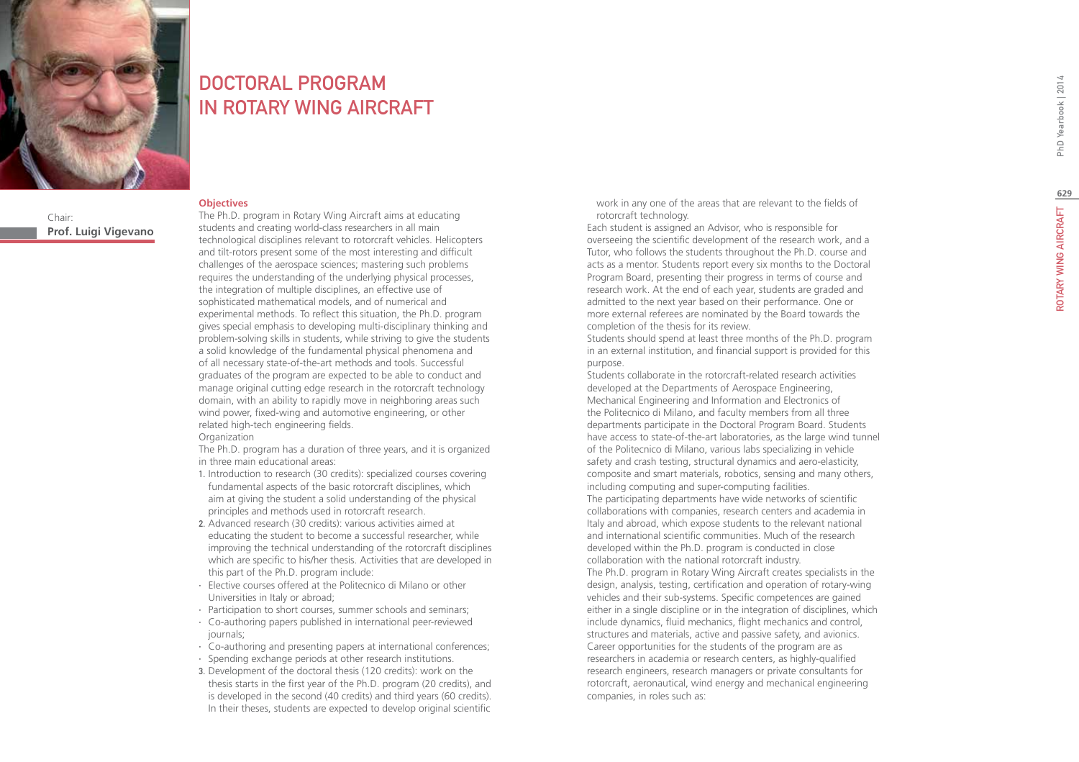

### DOCTORAL PROGRAM IN Rotary Wing Aircra f t

### **Objectives**

Chair: **Prof. Luigi Vigevano**

The Ph.D. program in Rotary Wing Aircraft aims at educating students and creating world-class researchers in all main technological disciplines relevant to rotorcraft vehicles. Helicopters and tilt-rotors present some of the most interesting and difficult challenges of the aerospace sciences; mastering such problems requires the understanding of the underlying physical processes, the integration of multiple disciplines, an effective use of sophisticated mathematical models, and of numerical and experimental methods. To reflect this situation, the Ph.D. program gives special emphasis to developing multi-disciplinary thinking and problem-solving skills in students, while striving to give the students a solid knowledge of the fundamental physical phenomena and of all necessary state-of-the-art methods and tools. Successful graduates of the program are expected to be able to conduct and manage original cutting edge research in the rotorcraft technology domain, with an ability to rapidly move in neighboring areas such wind power, fixed-wing and automotive engineering, or other related high-tech engineering fields. **Organization** 

The Ph.D. program has a duration of three years, and it is organized in three main educational areas:

- 1. Introduction to research (30 credits): specialized courses covering fundamental aspects of the basic rotorcraft disciplines, which aim at giving the student a solid understanding of the physical principles and methods used in rotorcraft research.
- 2. Advanced research (30 credits): various activities aimed at educating the student to become a successful researcher, while improving the technical understanding of the rotorcraft disciplines which are specific to his/her thesis. Activities that are developed in this part of the Ph.D. program include:
- ∙ Elective courses offered at the Politecnico di Milano or other Universities in Italy or abroad;
- ∙ Participation to short courses, summer schools and seminars;
- ∙ Co-authoring papers published in international peer-reviewed journals;
- ∙ Co-authoring and presenting papers at international conferences;
- ∙ Spending exchange periods at other research institutions.
- 3. Development of the doctoral thesis (120 credits): work on the thesis starts in the first year of the Ph.D. program (20 credits), and is developed in the second (40 credits) and third years (60 credits). In their theses, students are expected to develop original scientific

work in any one of the areas that are relevant to the fields of rotorcraft technology.

Each student is assigned an Advisor, who is responsible for overseeing the scientific development of the research work, and a Tutor, who follows the students throughout the Ph.D. course and acts as a mentor. Students report every six months to the Doctoral Program Board, presenting their progress in terms of course and research work. At the end of each year, students are graded and admitted to the next year based on their performance. One or more external referees are nominated by the Board towards the completion of the thesis for its review.

Students should spend at least three months of the Ph.D. program in an external institution, and financial support is provided for this purpose.

Students collaborate in the rotorcraft-related research activities developed at the Departments of Aerospace Engineering, Mechanical Engineering and Information and Electronics of the Politecnico di Milano, and faculty members from all three departments participate in the Doctoral Program Board. Students have access to state-of-the-art laboratories, as the large wind tunnel of the Politecnico di Milano, various labs specializing in vehicle safety and crash testing, structural dynamics and aero-elasticity, composite and smart materials, robotics, sensing and many others, including computing and super-computing facilities. The participating departments have wide networks of scientific collaborations with companies, research centers and academia in Italy and abroad, which expose students to the relevant national and international scientific communities. Much of the research developed within the Ph.D. program is conducted in close collaboration with the national rotorcraft industry. The Ph.D. program in Rotary Wing Aircraft creates specialists in the design, analysis, testing, certification and operation of rotary-wing vehicles and their sub-systems. Specific competences are gained either in a single discipline or in the integration of disciplines, which include dynamics, fluid mechanics, flight mechanics and control, structures and materials, active and passive safety, and avionics. Career opportunities for the students of the program are as researchers in academia or research centers, as highly-qualified research engineers, research managers or private consultants for rotorcraft, aeronautical, wind energy and mechanical engineering companies, in roles such as: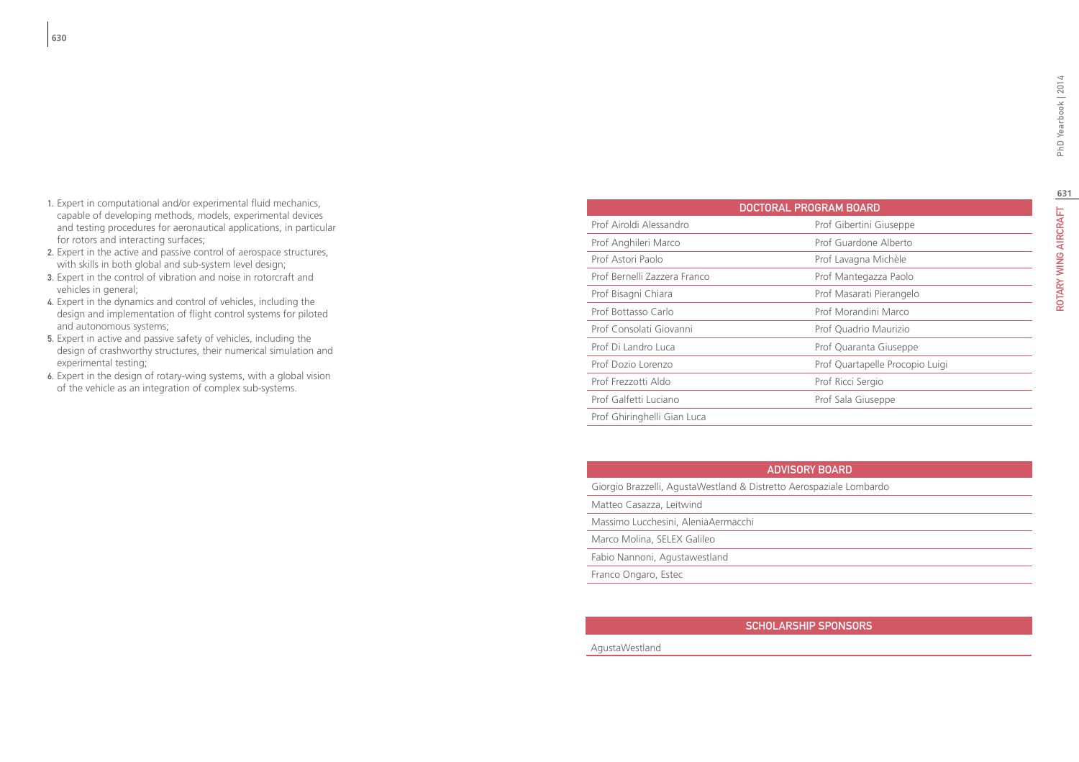**631**Rota ry Wing Air c

- 1. Expert in computational and/or experimental fluid mechanics, capable of developing methods, models, experimental devices and testing procedures for aeronautical applications, in particular for rotors and interacting surfaces;
- 2. Expert in the active and passive control of aerospace structures, with skills in both global and sub-system level design;
- 3. Expert in the control of vibration and noise in rotorcraft and vehicles in general;
- 4. Expert in the dynamics and control of vehicles, including the design and implementation of flight control systems for piloted and autonomous systems;
- 5. Expert in active and passive safety of vehicles, including the design of crashworthy structures, their numerical simulation and experimental testing;
- 6. Expert in the design of rotary-wing systems, with a global vision of the vehicle as an integration of complex sub-systems.

| <b>DOCTORAL PROGRAM BOARD</b> |                                 |
|-------------------------------|---------------------------------|
| Prof Airoldi Alessandro       | Prof Gibertini Giuseppe         |
| Prof Anghileri Marco          | Prof Guardone Alberto           |
| Prof Astori Paolo             | Prof Lavagna Michèle            |
| Prof Bernelli Zazzera Franco  | Prof Mantegazza Paolo           |
| Prof Bisagni Chiara           | Prof Masarati Pierangelo        |
| Prof Bottasso Carlo           | Prof Morandini Marco            |
| Prof Consolati Giovanni       | Prof Quadrio Maurizio           |
| Prof Di Landro Luca           | Prof Quaranta Giuseppe          |
| Prof Dozio Lorenzo            | Prof Quartapelle Procopio Luigi |
| Prof Frezzotti Aldo           | Prof Ricci Sergio               |
| Prof Galfetti Luciano         | Prof Sala Giuseppe              |
| Prof Ghiringhelli Gian Luca   |                                 |

Giorgio Brazzelli, AgustaWestland & Distretto Aerospaziale Lombardo

Matteo Casazza, Leitwind

Massimo Lucchesini, AleniaAermacchi

Marco Molina, SELEX Galileo

Fabio Nannoni, Agustawestland

Franco Ongaro, Estec

### SCHOLARSHIP SPONSORS

AgustaWestland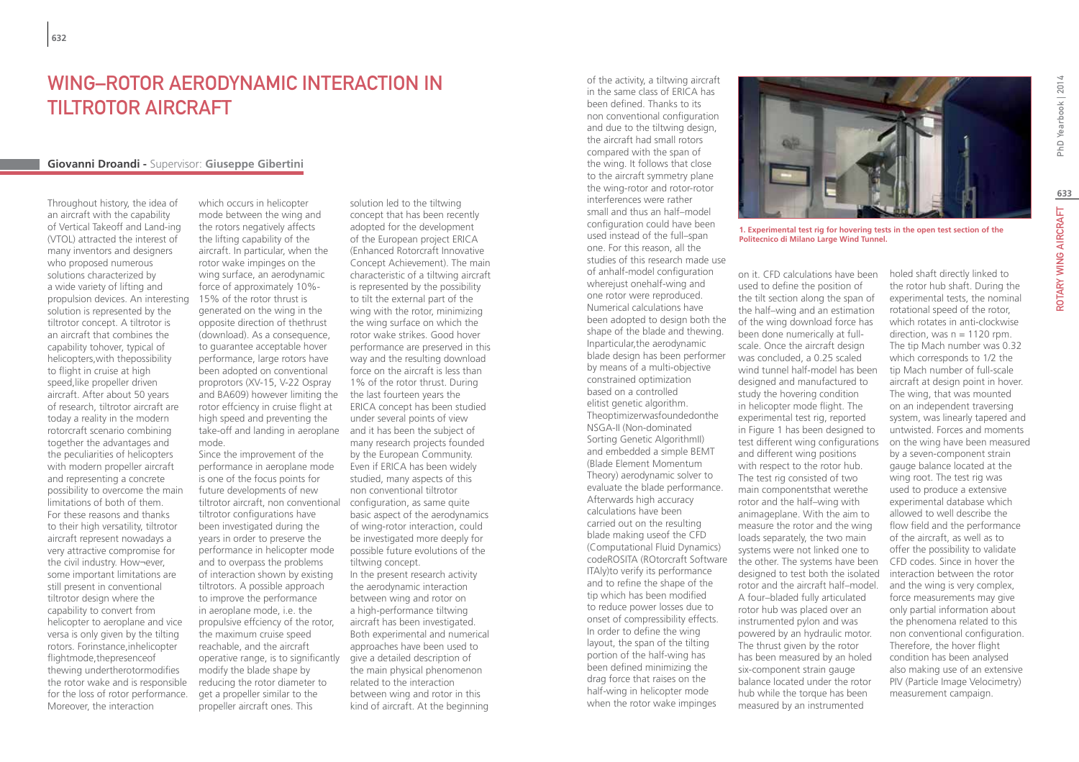# Wing–Rotor Aerodynamic Interaction in Tiltrotor Aircraft

### **Giovanni Droandi -** Supervisor: **Giuseppe Gibertini**

Throughout history, the idea of an aircraft with the capability of Vertical Takeoff and Land-ing (VTOL) attracted the interest of many inventors and designers who proposed numerous solutions characterized by a wide variety of lifting and propulsion devices. An interesting solution is represented by the tiltrotor concept. A tiltrotor is an aircraft that combines the capability tohover, typical of helicopters,with thepossibility to flight in cruise at high speed,like propeller driven aircraft. After about 50 years of research, tiltrotor aircraft are today a reality in the modern rotorcraft scenario combining together the advantages and the peculiarities of helicopters with modern propeller aircraft and representing a concrete possibility to overcome the main limitations of both of them. For these reasons and thanks to their high versatility, tiltrotor aircraft represent nowadays a very attractive compromise for the civil industry. How¬ever, some important limitations are still present in conventional tiltrotor design where the capability to convert from helicopter to aeroplane and vice versa is only given by the tilting rotors. Forinstance,inhelicopter flightmode,thepresenceof thewing undertherotormodifies the rotor wake and is responsible for the loss of rotor performance. Moreover, the interaction

which occurs in helicopter mode between the wing and the rotors negatively affects the lifting capability of the aircraft. In particular, when the rotor wake impinges on the wing surface, an aerodynamic force of approximately 10%- 15% of the rotor thrust is generated on the wing in the opposite direction of thethrust (download). As a consequence, to guarantee acceptable hover performance, large rotors have been adopted on conventional proprotors (XV-15, V-22 Ospray and BA609) however limiting the the last fourteen years the rotor effciency in cruise flight at high speed and preventing the take-off and landing in aeroplane and it has been the subject of mode.

Since the improvement of the performance in aeroplane mode is one of the focus points for future developments of new tiltrotor aircraft, non conventional configuration, as same quite tiltrotor configurations have been investigated during the years in order to preserve the performance in helicopter mode and to overpass the problems of interaction shown by existing tiltrotors. A possible approach to improve the performance in aeroplane mode, i.e. the propulsive effciency of the rotor, the maximum cruise speed reachable, and the aircraft operative range, is to significantly modify the blade shape by reducing the rotor diameter to get a propeller similar to the propeller aircraft ones. This

solution led to the tiltwing concept that has been recently adopted for the development of the European project ERICA (Enhanced Rotorcraft Innovative Concept Achievement). The main characteristic of a tiltwing aircraft is represented by the possibility to tilt the external part of the wing with the rotor, minimizing the wing surface on which the rotor wake strikes. Good hover performance are preserved in this way and the resulting download force on the aircraft is less than 1% of the rotor thrust. During ERICA concept has been studied under several points of view many research projects founded by the European Community. Even if ERICA has been widely studied, many aspects of this non conventional tiltrotor basic aspect of the aerodynamics of wing-rotor interaction, could be investigated more deeply for possible future evolutions of the tiltwing concept. In the present research activity the aerodynamic interaction between wing and rotor on a high-performance tiltwing

aircraft has been investigated. Both experimental and numerical approaches have been used to give a detailed description of the main physical phenomenon related to the interaction between wing and rotor in this kind of aircraft. At the beginning

of the activity, a tiltwing aircraft in the same class of ERICA has been defined. Thanks to its non conventional configuration and due to the tiltwing design, the aircraft had small rotors compared with the span of the wing. It follows that close to the aircraft symmetry plane the wing-rotor and rotor-rotor interferences were rather small and thus an half–model configuration could have been used instead of the full–span one. For this reason, all the studies of this research made use of anhalf-model configuration wherejust onehalf-wing and one rotor were reproduced. Numerical calculations have been adopted to design both the shape of the blade and thewing. Inparticular,the aerodynamic blade design has been performer by means of a multi-objective constrained optimization based on a controlled elitist genetic algorithm. Theoptimizerwasfoundedonthe NSGA-II (Non-dominated Sorting Genetic AlgorithmII) and embedded a simple BEMT (Blade Element Momentum Theory) aerodynamic solver to evaluate the blade performance. Afterwards high accuracy calculations have been carried out on the resulting blade making useof the CFD (Computational Fluid Dynamics) codeROSITA (ROtorcraft Software ITAly)to verify its performance and to refine the shape of the tip which has been modified to reduce power losses due to onset of compressibility effects. In order to define the wing layout, the span of the tilting portion of the half-wing has been defined minimizing the drag force that raises on the half-wing in helicopter mode when the rotor wake impinges



**1. Experimental test rig for hovering tests in the open test section of the Politecnico di Milano Large Wind Tunnel.** 

on it. CFD calculations have been used to define the position of the tilt section along the span of the half–wing and an estimation of the wing download force has been done numerically at fullscale. Once the aircraft design was concluded, a 0.25 scaled wind tunnel half-model has been designed and manufactured to study the hovering condition in helicopter mode flight. The experimental test rig, reported in Figure 1 has been designed to test different wing configurations and different wing positions with respect to the rotor hub. The test rig consisted of two main componentsthat werethe rotor and the half–wing with animageplane. With the aim to measure the rotor and the wing loads separately, the two main systems were not linked one to the other. The systems have been designed to test both the isolated rotor and the aircraft half–model. A four–bladed fully articulated rotor hub was placed over an instrumented pylon and was powered by an hydraulic motor. The thrust given by the rotor has been measured by an holed six-component strain gauge balance located under the rotor hub while the torque has been measured by an instrumented

holed shaft directly linked to the rotor hub shaft. During the experimental tests, the nominal rotational speed of the rotor, which rotates in anti-clockwise direction, was  $n = 1120$  rpm. The tip Mach number was 0.32 which corresponds to 1/2 the tip Mach number of full-scale aircraft at design point in hover. The wing, that was mounted on an independent traversing system, was linearly tapered and untwisted. Forces and moments on the wing have been measured by a seven-component strain gauge balance located at the wing root. The test rig was used to produce a extensive experimental database which allowed to well describe the flow field and the performance of the aircraft, as well as to offer the possibility to validate CFD codes. Since in hover the interaction between the rotor and the wing is very complex, force measurements may give only partial information about the phenomena related to this non conventional configuration. Therefore, the hover flight condition has been analysed also making use of an extensive PIV (Particle Image Velocimetry) measurement campaign.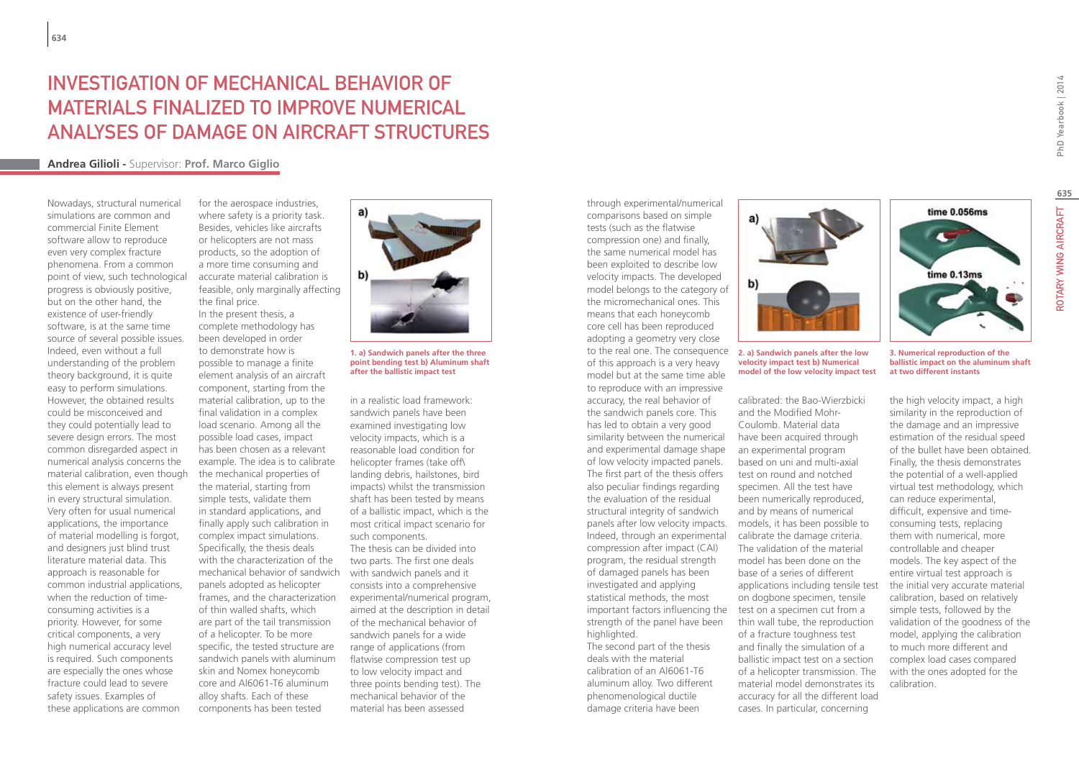# investigation of mechanical behavior of materials finalized to improve numerical analyses of damage on aircraft structures

for the aerospace industries,

### **Andrea Gilioli -** Supervisor: **Prof. Marco Giglio**

Nowadays, structural numerical simulations are common and commercial Finite Element software allow to reproduce even very complex fracture phenomena. From a common point of view, such technological progress is obviously positive, but on the other hand, the existence of user-friendly software, is at the same time source of several possible issues. Indeed, even without a full understanding of the problem theory background, it is quite easy to perform simulations. However, the obtained results could be misconceived and they could potentially lead to severe design errors. The most common disregarded aspect in numerical analysis concerns the material calibration, even though this element is always present in every structural simulation. Very often for usual numerical applications, the importance of material modelling is forgot, and designers just blind trust literature material data. This approach is reasonable for common industrial applications, when the reduction of timeconsuming activities is a priority. However, for some critical components, a very high numerical accuracy level is required. Such components are especially the ones whose fracture could lead to severe safety issues. Examples of these applications are common

where safety is a priority task. Besides, vehicles like aircrafts or helicopters are not mass products, so the adoption of a more time consuming and accurate material calibration is feasible, only marginally affecting the final price. In the present thesis, a complete methodology has been developed in order to demonstrate how is possible to manage a finite element analysis of an aircraft component, starting from the material calibration, up to the final validation in a complex load scenario. Among all the possible load cases, impact has been chosen as a relevant example. The idea is to calibrate the mechanical properties of the material, starting from simple tests, validate them in standard applications, and finally apply such calibration in complex impact simulations. Specifically, the thesis deals with the characterization of the mechanical behavior of sandwich with sandwich panels and it panels adopted as helicopter frames, and the characterization of thin walled shafts, which are part of the tail transmission of a helicopter. To be more specific, the tested structure are sandwich panels with aluminum skin and Nomex honeycomb core and Al6061-T6 aluminum alloy shafts. Each of these components has been tested



**1. a) Sandwich panels after the three point bending test b) Aluminum shaft after the ballistic impact test**

in a realistic load framework: sandwich panels have been examined investigating low velocity impacts, which is a reasonable load condition for helicopter frames (take off\ landing debris, hailstones, bird impacts) whilst the transmission shaft has been tested by means of a ballistic impact, which is the most critical impact scenario for such components.

The thesis can be divided into two parts. The first one deals consists into a comprehensive experimental/numerical program, aimed at the description in detail of the mechanical behavior of sandwich panels for a wide range of applications (from flatwise compression test up to low velocity impact and three points bending test). The mechanical behavior of the material has been assessed

through experimental/numerical comparisons based on simple tests (such as the flatwise compression one) and finally, the same numerical model has been exploited to describe low velocity impacts. The developed model belongs to the category of the micromechanical ones. This means that each honeycomb core cell has been reproduced adopting a geometry very close to the real one. The consequence of this approach is a very heavy model but at the same time able to reproduce with an impressive accuracy, the real behavior of the sandwich panels core. This has led to obtain a very good similarity between the numerical and experimental damage shape of low velocity impacted panels. The first part of the thesis offers also peculiar findings regarding the evaluation of the residual structural integrity of sandwich panels after low velocity impacts. Indeed, through an experimental compression after impact (CAI) program, the residual strength of damaged panels has been investigated and applying statistical methods, the most important factors influencing the strength of the panel have been highlighted. The second part of the thesis

deals with the material calibration of an Al6061-T6 aluminum alloy. Two different phenomenological ductile damage criteria have been



#### **2. a) Sandwich panels after the low velocity impact test b) Numerical model of the low velocity impact test**

calibrated: the Bao-Wierzbicki and the Modified Mohr-Coulomb. Material data have been acquired through an experimental program based on uni and multi-axial test on round and notched specimen. All the test have been numerically reproduced, and by means of numerical models, it has been possible to calibrate the damage criteria. The validation of the material model has been done on the base of a series of different applications including tensile test on dogbone specimen, tensile test on a specimen cut from a thin wall tube, the reproduction of a fracture toughness test and finally the simulation of a ballistic impact test on a section of a helicopter transmission. The material model demonstrates its accuracy for all the different load cases. In particular, concerning

PhD Yearbook | 2014

Rota

**3. Numerical reproduction of the ballistic impact on the aluminum shaft at two different instants**

time 0.056ms

time 0.13ms

the high velocity impact, a high similarity in the reproduction of the damage and an impressive estimation of the residual speed of the bullet have been obtained. Finally, the thesis demonstrates the potential of a well-applied virtual test methodology, which can reduce experimental, difficult, expensive and timeconsuming tests, replacing them with numerical, more controllable and cheaper models. The key aspect of the entire virtual test approach is the initial very accurate material calibration, based on relatively simple tests, followed by the validation of the goodness of the model, applying the calibration to much more different and complex load cases compared with the ones adopted for the calibration.